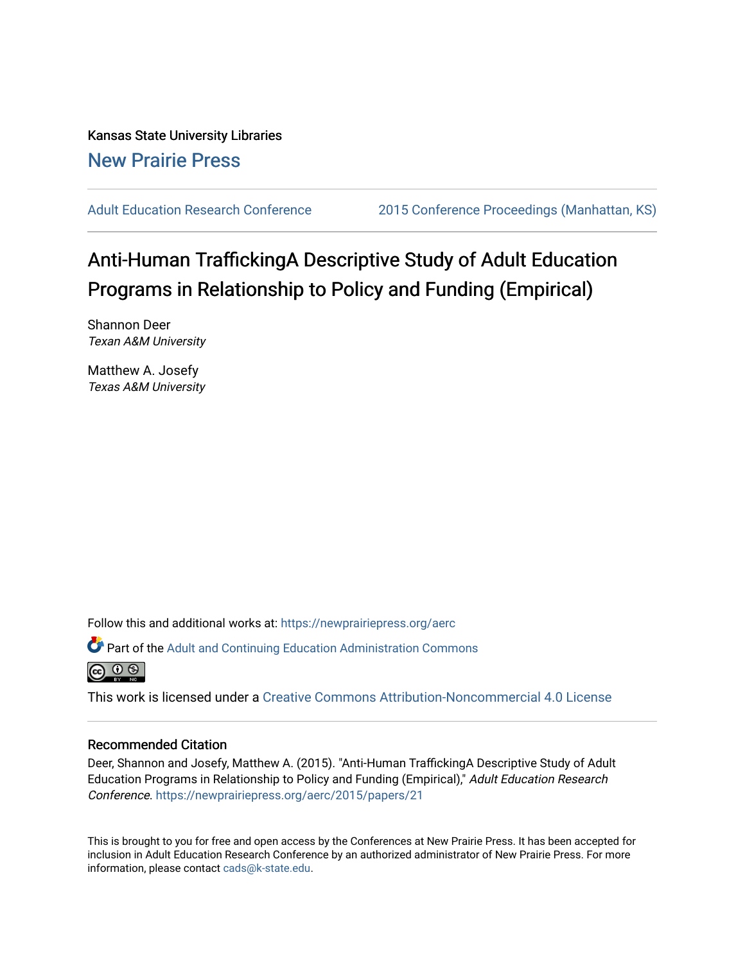Kansas State University Libraries [New Prairie Press](https://newprairiepress.org/) 

[Adult Education Research Conference](https://newprairiepress.org/aerc) [2015 Conference Proceedings \(Manhattan, KS\)](https://newprairiepress.org/aerc/2015) 

# Anti-Human TraffickingA Descriptive Study of Adult Education Programs in Relationship to Policy and Funding (Empirical)

Shannon Deer Texan A&M University

Matthew A. Josefy Texas A&M University

Follow this and additional works at: [https://newprairiepress.org/aerc](https://newprairiepress.org/aerc?utm_source=newprairiepress.org%2Faerc%2F2015%2Fpapers%2F21&utm_medium=PDF&utm_campaign=PDFCoverPages)

Part of the [Adult and Continuing Education Administration Commons](http://network.bepress.com/hgg/discipline/789?utm_source=newprairiepress.org%2Faerc%2F2015%2Fpapers%2F21&utm_medium=PDF&utm_campaign=PDFCoverPages)



This work is licensed under a [Creative Commons Attribution-Noncommercial 4.0 License](https://creativecommons.org/licenses/by-nc/4.0/)

## Recommended Citation

Deer, Shannon and Josefy, Matthew A. (2015). "Anti-Human TraffickingA Descriptive Study of Adult Education Programs in Relationship to Policy and Funding (Empirical)," Adult Education Research Conference.<https://newprairiepress.org/aerc/2015/papers/21>

This is brought to you for free and open access by the Conferences at New Prairie Press. It has been accepted for inclusion in Adult Education Research Conference by an authorized administrator of New Prairie Press. For more information, please contact [cads@k-state.edu](mailto:cads@k-state.edu).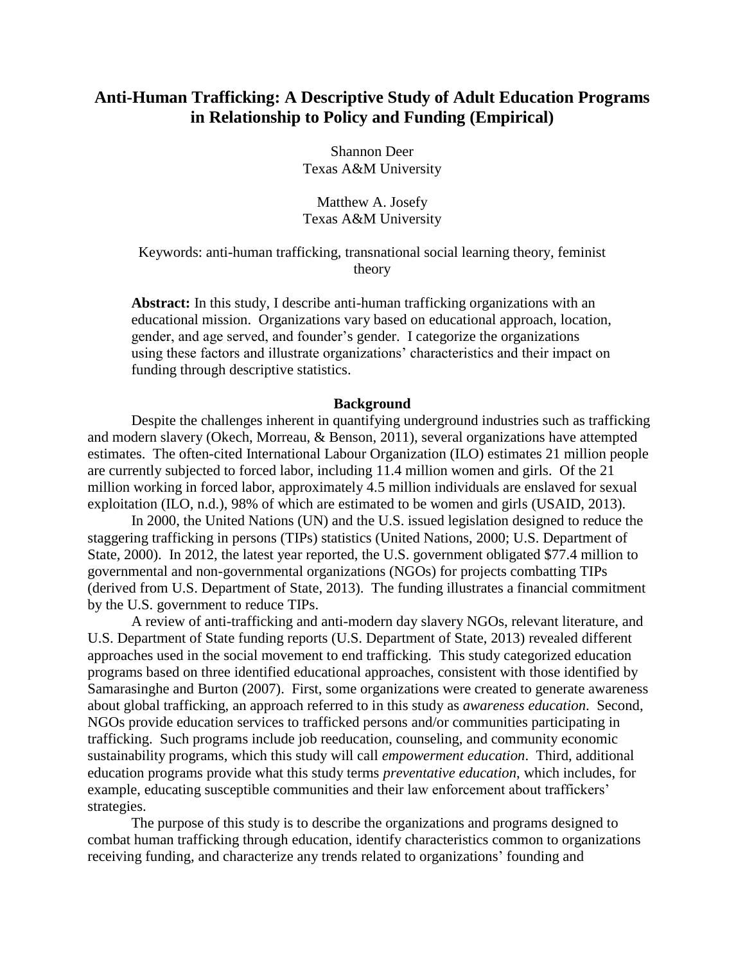# **Anti-Human Trafficking: A Descriptive Study of Adult Education Programs in Relationship to Policy and Funding (Empirical)**

Shannon Deer Texas A&M University

Matthew A. Josefy Texas A&M University

Keywords: anti-human trafficking, transnational social learning theory, feminist theory

**Abstract:** In this study, I describe anti-human trafficking organizations with an educational mission. Organizations vary based on educational approach, location, gender, and age served, and founder's gender. I categorize the organizations using these factors and illustrate organizations' characteristics and their impact on funding through descriptive statistics.

#### **Background**

Despite the challenges inherent in quantifying underground industries such as trafficking and modern slavery (Okech, Morreau, & Benson, 2011), several organizations have attempted estimates. The often-cited International Labour Organization (ILO) estimates 21 million people are currently subjected to forced labor, including 11.4 million women and girls. Of the 21 million working in forced labor, approximately 4.5 million individuals are enslaved for sexual exploitation (ILO, n.d.), 98% of which are estimated to be women and girls (USAID, 2013).

In 2000, the United Nations (UN) and the U.S. issued legislation designed to reduce the staggering trafficking in persons (TIPs) statistics (United Nations, 2000; U.S. Department of State, 2000). In 2012, the latest year reported, the U.S. government obligated \$77.4 million to governmental and non-governmental organizations (NGOs) for projects combatting TIPs (derived from U.S. Department of State, 2013). The funding illustrates a financial commitment by the U.S. government to reduce TIPs.

A review of anti-trafficking and anti-modern day slavery NGOs, relevant literature, and U.S. Department of State funding reports (U.S. Department of State, 2013) revealed different approaches used in the social movement to end trafficking. This study categorized education programs based on three identified educational approaches, consistent with those identified by Samarasinghe and Burton (2007). First, some organizations were created to generate awareness about global trafficking, an approach referred to in this study as *awareness education*. Second, NGOs provide education services to trafficked persons and/or communities participating in trafficking. Such programs include job reeducation, counseling, and community economic sustainability programs, which this study will call *empowerment education*. Third, additional education programs provide what this study terms *preventative education*, which includes, for example, educating susceptible communities and their law enforcement about traffickers' strategies.

The purpose of this study is to describe the organizations and programs designed to combat human trafficking through education, identify characteristics common to organizations receiving funding, and characterize any trends related to organizations' founding and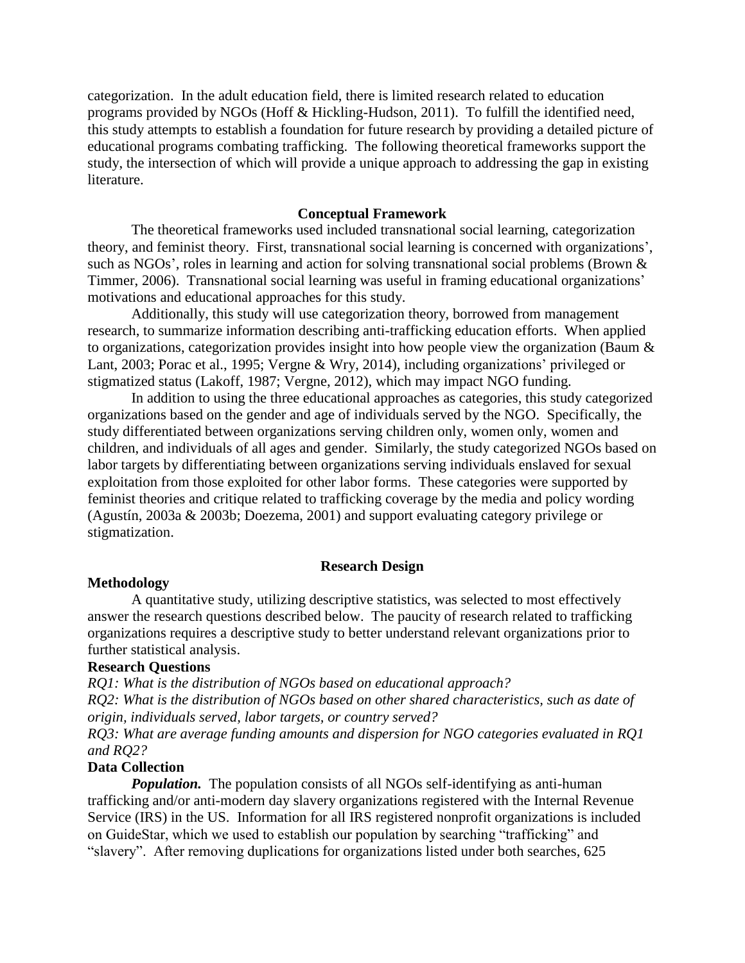categorization. In the adult education field, there is limited research related to education programs provided by NGOs (Hoff & Hickling-Hudson, 2011). To fulfill the identified need, this study attempts to establish a foundation for future research by providing a detailed picture of educational programs combating trafficking. The following theoretical frameworks support the study, the intersection of which will provide a unique approach to addressing the gap in existing literature.

### **Conceptual Framework**

The theoretical frameworks used included transnational social learning, categorization theory, and feminist theory. First, transnational social learning is concerned with organizations', such as NGOs', roles in learning and action for solving transnational social problems (Brown & Timmer, 2006). Transnational social learning was useful in framing educational organizations' motivations and educational approaches for this study.

Additionally, this study will use categorization theory, borrowed from management research, to summarize information describing anti-trafficking education efforts. When applied to organizations, categorization provides insight into how people view the organization (Baum & Lant, 2003; Porac et al., 1995; Vergne & Wry, 2014), including organizations' privileged or stigmatized status (Lakoff, 1987; Vergne, 2012), which may impact NGO funding.

In addition to using the three educational approaches as categories, this study categorized organizations based on the gender and age of individuals served by the NGO. Specifically, the study differentiated between organizations serving children only, women only, women and children, and individuals of all ages and gender. Similarly, the study categorized NGOs based on labor targets by differentiating between organizations serving individuals enslaved for sexual exploitation from those exploited for other labor forms. These categories were supported by feminist theories and critique related to trafficking coverage by the media and policy wording (Agustín, 2003a & 2003b; Doezema, 2001) and support evaluating category privilege or stigmatization.

#### **Research Design**

#### **Methodology**

A quantitative study, utilizing descriptive statistics, was selected to most effectively answer the research questions described below. The paucity of research related to trafficking organizations requires a descriptive study to better understand relevant organizations prior to further statistical analysis.

#### **Research Questions**

*RQ1: What is the distribution of NGOs based on educational approach? RQ2: What is the distribution of NGOs based on other shared characteristics, such as date of origin, individuals served, labor targets, or country served?*

*RQ3: What are average funding amounts and dispersion for NGO categories evaluated in RQ1 and RQ2?* 

#### **Data Collection**

*Population.* The population consists of all NGOs self-identifying as anti-human trafficking and/or anti-modern day slavery organizations registered with the Internal Revenue Service (IRS) in the US. Information for all IRS registered nonprofit organizations is included on GuideStar, which we used to establish our population by searching "trafficking" and "slavery". After removing duplications for organizations listed under both searches, 625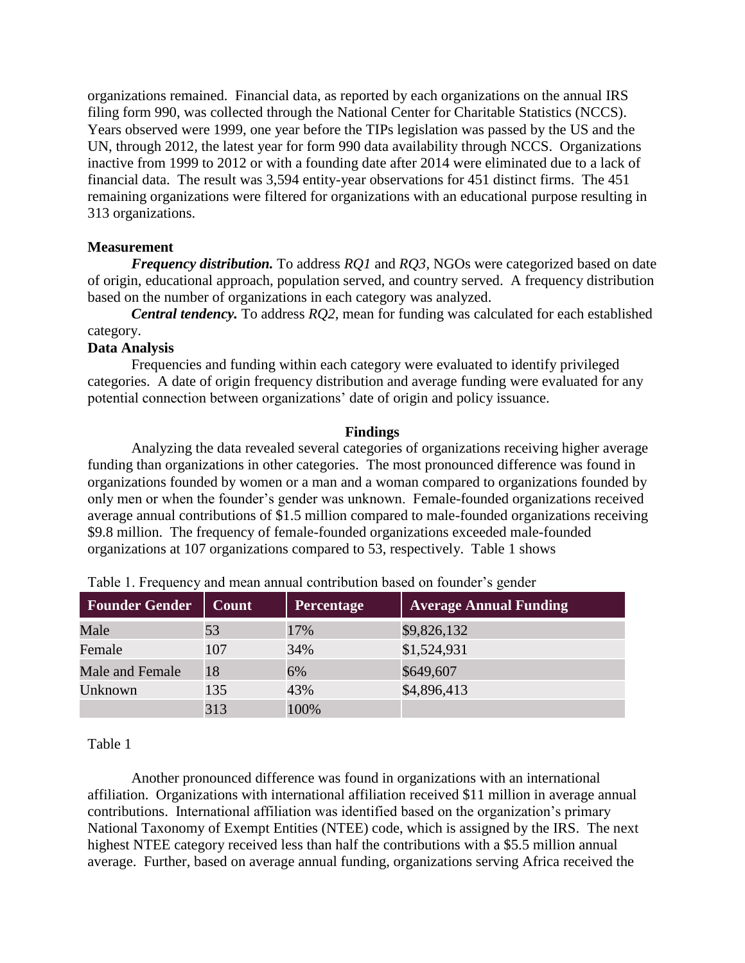organizations remained. Financial data, as reported by each organizations on the annual IRS filing form 990, was collected through the National Center for Charitable Statistics (NCCS). Years observed were 1999, one year before the TIPs legislation was passed by the US and the UN, through 2012, the latest year for form 990 data availability through NCCS. Organizations inactive from 1999 to 2012 or with a founding date after 2014 were eliminated due to a lack of financial data. The result was 3,594 entity-year observations for 451 distinct firms. The 451 remaining organizations were filtered for organizations with an educational purpose resulting in 313 organizations.

# **Measurement**

*Frequency distribution.* To address *RQ1* and *RQ3*, NGOs were categorized based on date of origin, educational approach, population served, and country served. A frequency distribution based on the number of organizations in each category was analyzed.

*Central tendency.* To address *RQ2*, mean for funding was calculated for each established category.

# **Data Analysis**

Frequencies and funding within each category were evaluated to identify privileged categories. A date of origin frequency distribution and average funding were evaluated for any potential connection between organizations' date of origin and policy issuance.

# **Findings**

Analyzing the data revealed several categories of organizations receiving higher average funding than organizations in other categories. The most pronounced difference was found in organizations founded by women or a man and a woman compared to organizations founded by only men or when the founder's gender was unknown. Female-founded organizations received average annual contributions of \$1.5 million compared to male-founded organizations receiving \$9.8 million. The frequency of female-founded organizations exceeded male-founded organizations at 107 organizations compared to 53, respectively. Table 1 shows

| <b>Founder Gender</b> | <b>Count</b> | <b>Percentage</b> | <b>Average Annual Funding</b> |
|-----------------------|--------------|-------------------|-------------------------------|
| Male                  | 53           | 17%               | \$9,826,132                   |
| Female                | 107          | 34%               | \$1,524,931                   |
| Male and Female       | 18           | 6%                | \$649,607                     |
| Unknown               | 135          | 43%               | \$4,896,413                   |
|                       | 313          | 100%              |                               |

Table 1. Frequency and mean annual contribution based on founder's gender

# Table 1

Another pronounced difference was found in organizations with an international affiliation. Organizations with international affiliation received \$11 million in average annual contributions. International affiliation was identified based on the organization's primary National Taxonomy of Exempt Entities (NTEE) code, which is assigned by the IRS. The next highest NTEE category received less than half the contributions with a \$5.5 million annual average. Further, based on average annual funding, organizations serving Africa received the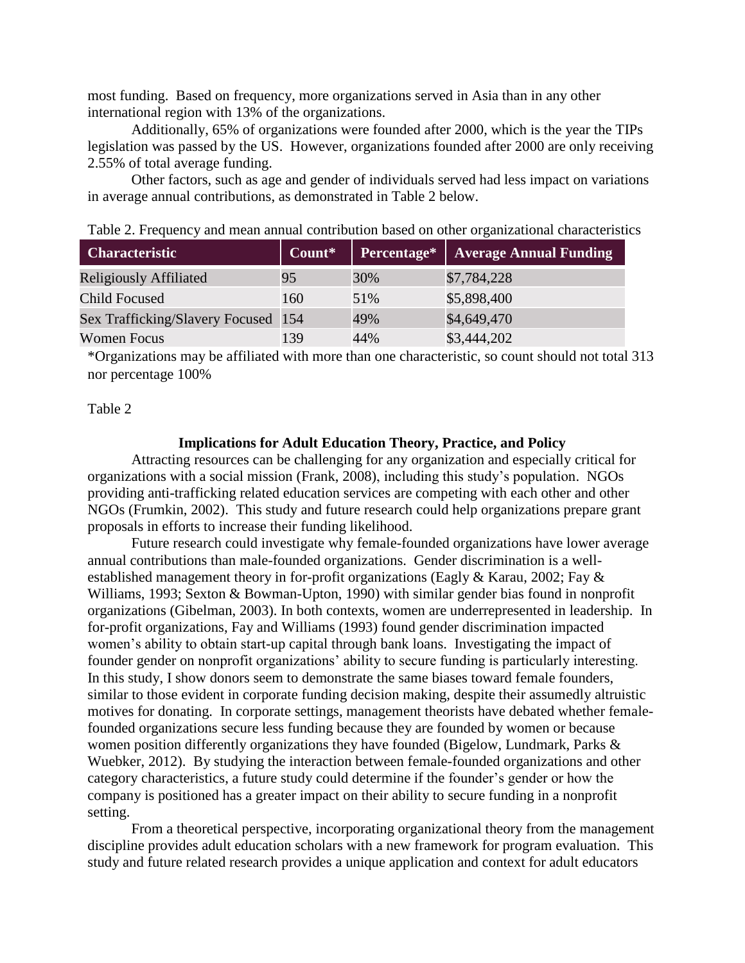most funding. Based on frequency, more organizations served in Asia than in any other international region with 13% of the organizations.

Additionally, 65% of organizations were founded after 2000, which is the year the TIPs legislation was passed by the US. However, organizations founded after 2000 are only receiving 2.55% of total average funding.

Other factors, such as age and gender of individuals served had less impact on variations in average annual contributions, as demonstrated in Table 2 below.

| <b>Characteristic</b>               | Count* | Percentage* | <b>Average Annual Funding</b> |  |  |  |
|-------------------------------------|--------|-------------|-------------------------------|--|--|--|
| <b>Religiously Affiliated</b>       | 95     | 30%         | \$7,784,228                   |  |  |  |
| <b>Child Focused</b>                | 160    | 51%         | \$5,898,400                   |  |  |  |
| Sex Trafficking/Slavery Focused 154 |        | 49%         | \$4,649,470                   |  |  |  |
| <b>Women Focus</b>                  | 139    | 44%         | \$3,444,202                   |  |  |  |

Table 2. Frequency and mean annual contribution based on other organizational characteristics

\*Organizations may be affiliated with more than one characteristic, so count should not total 313 nor percentage 100%

# Table 2

#### **Implications for Adult Education Theory, Practice, and Policy**

Attracting resources can be challenging for any organization and especially critical for organizations with a social mission (Frank, 2008), including this study's population. NGOs providing anti-trafficking related education services are competing with each other and other NGOs (Frumkin, 2002). This study and future research could help organizations prepare grant proposals in efforts to increase their funding likelihood.

Future research could investigate why female-founded organizations have lower average annual contributions than male-founded organizations. Gender discrimination is a wellestablished management theory in for-profit organizations (Eagly & Karau, 2002; Fay & Williams, 1993; Sexton & Bowman-Upton, 1990) with similar gender bias found in nonprofit organizations (Gibelman, 2003). In both contexts, women are underrepresented in leadership. In for-profit organizations, Fay and Williams (1993) found gender discrimination impacted women's ability to obtain start-up capital through bank loans. Investigating the impact of founder gender on nonprofit organizations' ability to secure funding is particularly interesting. In this study, I show donors seem to demonstrate the same biases toward female founders, similar to those evident in corporate funding decision making, despite their assumedly altruistic motives for donating. In corporate settings, management theorists have debated whether femalefounded organizations secure less funding because they are founded by women or because women position differently organizations they have founded (Bigelow, Lundmark, Parks & Wuebker, 2012). By studying the interaction between female-founded organizations and other category characteristics, a future study could determine if the founder's gender or how the company is positioned has a greater impact on their ability to secure funding in a nonprofit setting.

From a theoretical perspective, incorporating organizational theory from the management discipline provides adult education scholars with a new framework for program evaluation. This study and future related research provides a unique application and context for adult educators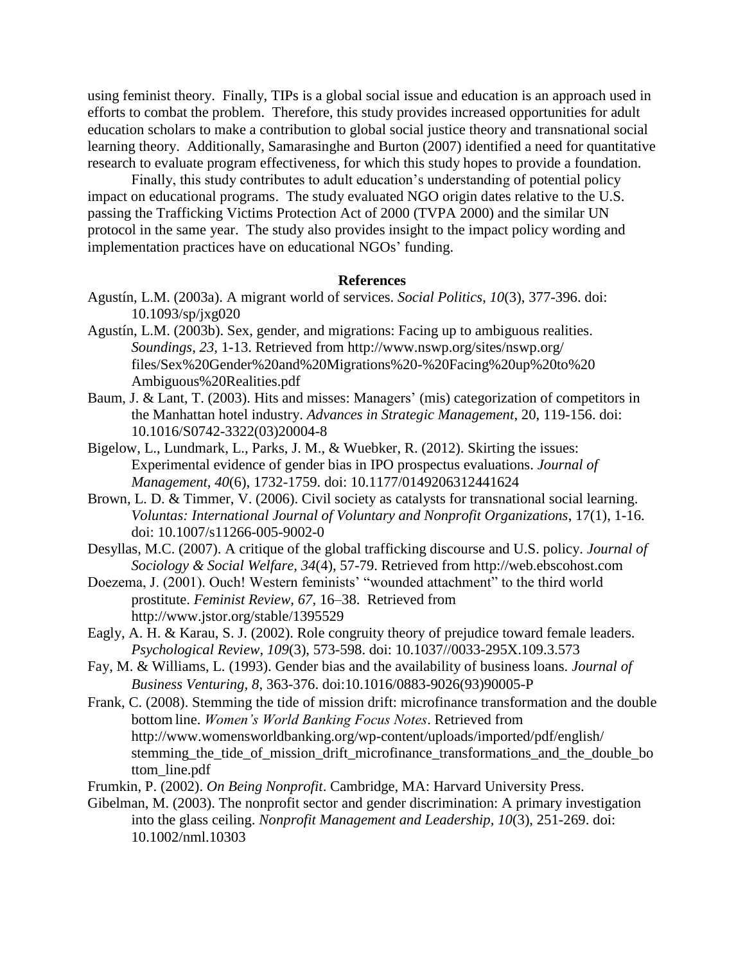using feminist theory. Finally, TIPs is a global social issue and education is an approach used in efforts to combat the problem. Therefore, this study provides increased opportunities for adult education scholars to make a contribution to global social justice theory and transnational social learning theory. Additionally, Samarasinghe and Burton (2007) identified a need for quantitative research to evaluate program effectiveness, for which this study hopes to provide a foundation.

Finally, this study contributes to adult education's understanding of potential policy impact on educational programs. The study evaluated NGO origin dates relative to the U.S. passing the Trafficking Victims Protection Act of 2000 (TVPA 2000) and the similar UN protocol in the same year. The study also provides insight to the impact policy wording and implementation practices have on educational NGOs' funding.

# **References**

- Agustín, L.M. (2003a). A migrant world of services. *Social Politics*, *10*(3), 377-396. doi: 10.1093/sp/jxg020
- Agustín, L.M. (2003b). Sex, gender, and migrations: Facing up to ambiguous realities. *Soundings*, *23*, 1-13. Retrieved from http://www.nswp.org/sites/nswp.org/ files/Sex%20Gender%20and%20Migrations%20-%20Facing%20up%20to%20 Ambiguous%20Realities.pdf
- Baum, J. & Lant, T. (2003). Hits and misses: Managers' (mis) categorization of competitors in the Manhattan hotel industry. *Advances in Strategic Management*, 20, 119-156. doi: 10.1016/S0742-3322(03)20004-8
- Bigelow, L., Lundmark, L., Parks, J. M., & Wuebker, R. (2012). Skirting the issues: Experimental evidence of gender bias in IPO prospectus evaluations. *Journal of Management, 40*(6), 1732-1759. doi: 10.1177/0149206312441624
- Brown, L. D. & Timmer, V. (2006). Civil society as catalysts for transnational social learning. *Voluntas: International Journal of Voluntary and Nonprofit Organizations*, 17(1), 1-16. doi: 10.1007/s11266-005-9002-0
- Desyllas, M.C. (2007). A critique of the global trafficking discourse and U.S. policy. *Journal of Sociology & Social Welfare, 34*(4), 57-79. Retrieved from http://web.ebscohost.com
- Doezema, J. (2001). Ouch! Western feminists' "wounded attachment" to the third world prostitute. *Feminist Review, 67*, 16–38. Retrieved from http://www.jstor.org/stable/1395529
- Eagly, A. H. & Karau, S. J. (2002). Role congruity theory of prejudice toward female leaders. *Psychological Review, 109*(3), 573-598. doi: 10.1037//0033-295X.109.3.573
- Fay, M. & Williams, L. (1993). Gender bias and the availability of business loans. *Journal of Business Venturing, 8*, 363-376. [doi:10.1016/0883-9026\(93\)90005-P](http://dx.doi.org/10.1016/0883-9026%2893%2990005-P)
- Frank, C. (2008). Stemming the tide of mission drift: microfinance transformation and the double bottom line. *Women's World Banking Focus Notes*. Retrieved from http://www.womensworldbanking.org/wp-content/uploads/imported/pdf/english/ stemming\_the\_tide\_of\_mission\_drift\_microfinance\_transformations\_and\_the\_double\_bo ttom\_line.pdf
- Frumkin, P. (2002). *On Being Nonprofit*. Cambridge, MA: Harvard University Press.
- Gibelman, M. (2003). The nonprofit sector and gender discrimination: A primary investigation into the glass ceiling. *Nonprofit Management and Leadership, 10*(3), 251-269. doi: 10.1002/nml.10303